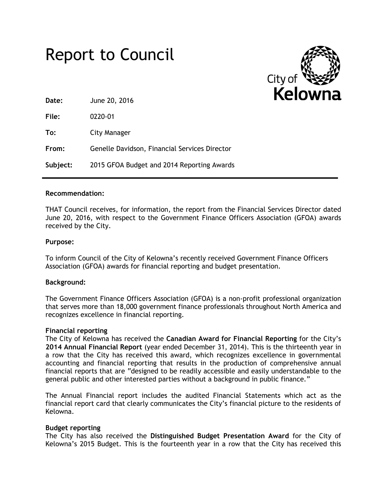# Report to Council



**Date:** June 20, 2016

**File:** 0220-01

**To:** City Manager

**From:** Genelle Davidson, Financial Services Director

**Subject:** 2015 GFOA Budget and 2014 Reporting Awards

## **Recommendation:**

THAT Council receives, for information, the report from the Financial Services Director dated June 20, 2016, with respect to the Government Finance Officers Association (GFOA) awards received by the City.

## **Purpose:**

To inform Council of the City of Kelowna's recently received Government Finance Officers Association (GFOA) awards for financial reporting and budget presentation.

## **Background:**

The Government Finance Officers Association (GFOA) is a non-profit professional organization that serves more than 18,000 government finance professionals throughout North America and recognizes excellence in financial reporting.

## **Financial reporting**

The City of Kelowna has received the **Canadian Award for Financial Reporting** for the City's **2014 Annual Financial Report** (year ended December 31, 2014). This is the thirteenth year in a row that the City has received this award, which recognizes excellence in governmental accounting and financial reporting that results in the production of comprehensive annual financial reports that are "designed to be readily accessible and easily understandable to the general public and other interested parties without a background in public finance."

The Annual Financial report includes the audited Financial Statements which act as the financial report card that clearly communicates the City's financial picture to the residents of Kelowna.

## **Budget reporting**

The City has also received the **Distinguished Budget Presentation Award** for the City of Kelowna's 2015 Budget. This is the fourteenth year in a row that the City has received this